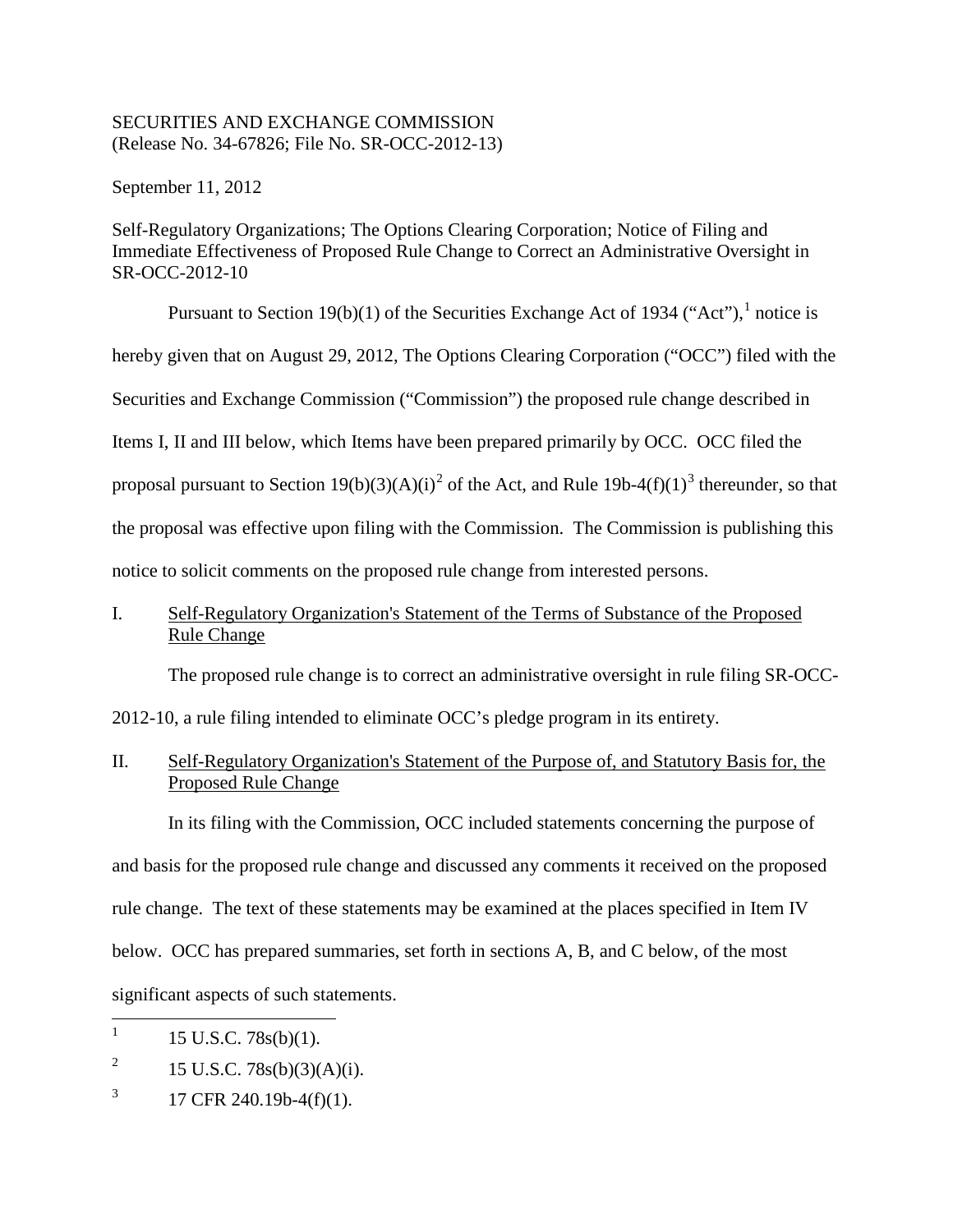## SECURITIES AND EXCHANGE COMMISSION (Release No. 34-67826; File No. SR-OCC-2012-13)

September 11, 2012

Self-Regulatory Organizations; The Options Clearing Corporation; Notice of Filing and Immediate Effectiveness of Proposed Rule Change to Correct an Administrative Oversight in SR-OCC-2012-10

Pursuant to Section [1](#page-0-0)9(b)(1) of the Securities Exchange Act of 1934 ("Act"),  $^1$  notice is hereby given that on August 29, 2012, The Options Clearing Corporation ("OCC") filed with the Securities and Exchange Commission ("Commission") the proposed rule change described in Items I, II and III below, which Items have been prepared primarily by OCC. OCC filed the proposal pursuant to Section 19(b)(3)(A)(i)<sup>[2](#page-0-1)</sup> of the Act, and Rule 19b-4(f)(1)<sup>[3](#page-0-2)</sup> thereunder, so that the proposal was effective upon filing with the Commission. The Commission is publishing this notice to solicit comments on the proposed rule change from interested persons.

# I. Self-Regulatory Organization's Statement of the Terms of Substance of the Proposed Rule Change

The proposed rule change is to correct an administrative oversight in rule filing SR-OCC-

2012-10, a rule filing intended to eliminate OCC's pledge program in its entirety.

II. Self-Regulatory Organization's Statement of the Purpose of, and Statutory Basis for, the Proposed Rule Change

In its filing with the Commission, OCC included statements concerning the purpose of and basis for the proposed rule change and discussed any comments it received on the proposed rule change. The text of these statements may be examined at the places specified in Item IV below. OCC has prepared summaries, set forth in sections A, B, and C below, of the most significant aspects of such statements.

<span id="page-0-0"></span> $1 \quad 15 \text{ U.S.C. } 78 \text{s(b)}(1).$ 

<span id="page-0-1"></span><sup>&</sup>lt;sup>2</sup> 15 U.S.C. 78s(b)(3)(A)(i).

<span id="page-0-2"></span> $3 \qquad 17 \text{ CFR } 240.19b - 4(f)(1).$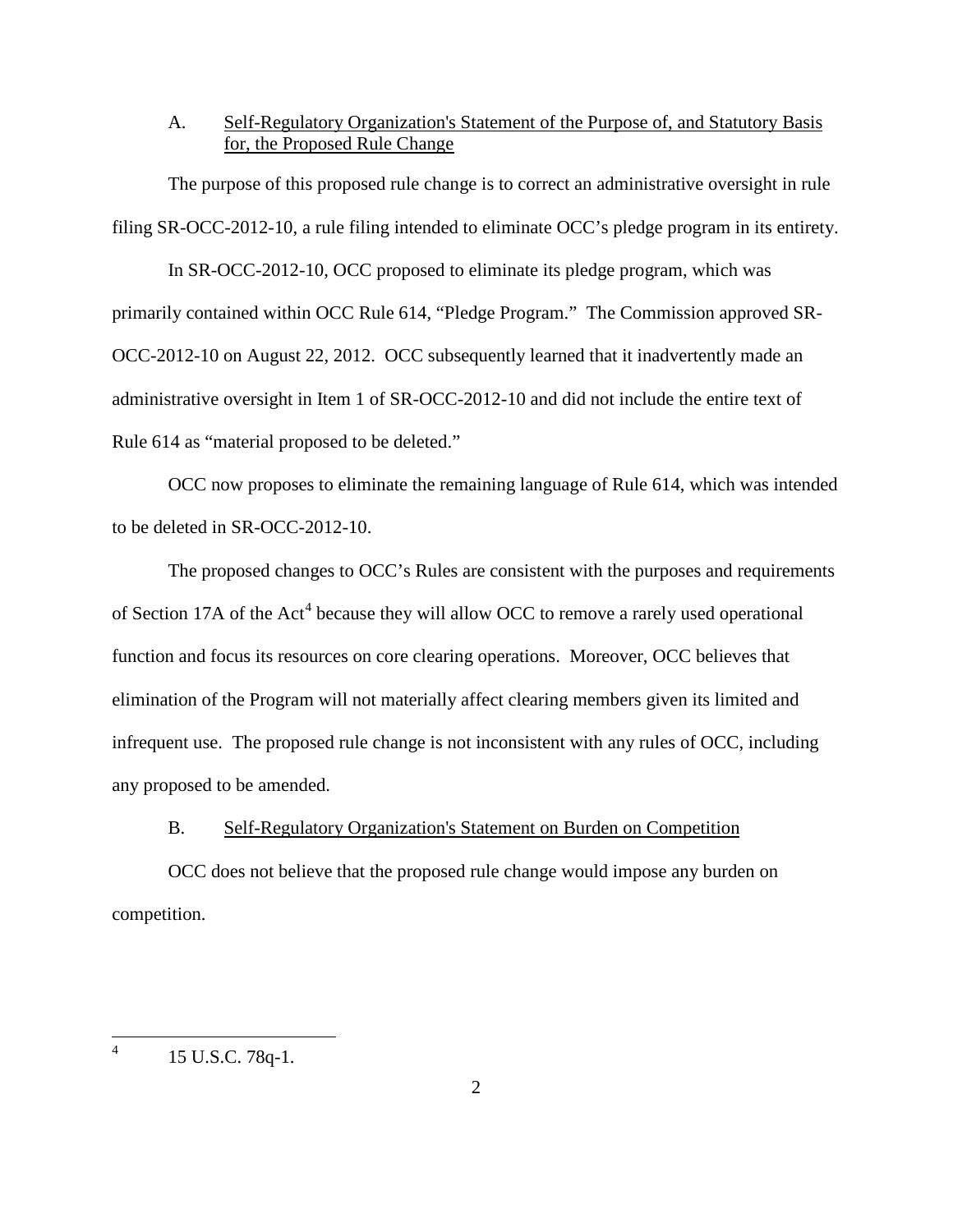## A. Self-Regulatory Organization's Statement of the Purpose of, and Statutory Basis for, the Proposed Rule Change

The purpose of this proposed rule change is to correct an administrative oversight in rule filing SR-OCC-2012-10, a rule filing intended to eliminate OCC's pledge program in its entirety.

In SR-OCC-2012-10, OCC proposed to eliminate its pledge program, which was primarily contained within OCC Rule 614, "Pledge Program." The Commission approved SR-OCC-2012-10 on August 22, 2012. OCC subsequently learned that it inadvertently made an administrative oversight in Item 1 of SR-OCC-2012-10 and did not include the entire text of Rule 614 as "material proposed to be deleted."

OCC now proposes to eliminate the remaining language of Rule 614, which was intended to be deleted in SR-OCC-2012-10.

The proposed changes to OCC's Rules are consistent with the purposes and requirements of Section 17A of the Act<sup>[4](#page-1-0)</sup> because they will allow OCC to remove a rarely used operational function and focus its resources on core clearing operations. Moreover, OCC believes that elimination of the Program will not materially affect clearing members given its limited and infrequent use. The proposed rule change is not inconsistent with any rules of OCC, including any proposed to be amended.

#### B. Self-Regulatory Organization's Statement on Burden on Competition

OCC does not believe that the proposed rule change would impose any burden on competition.

<span id="page-1-0"></span> $^{4}$  15 U.S.C. 78q-1.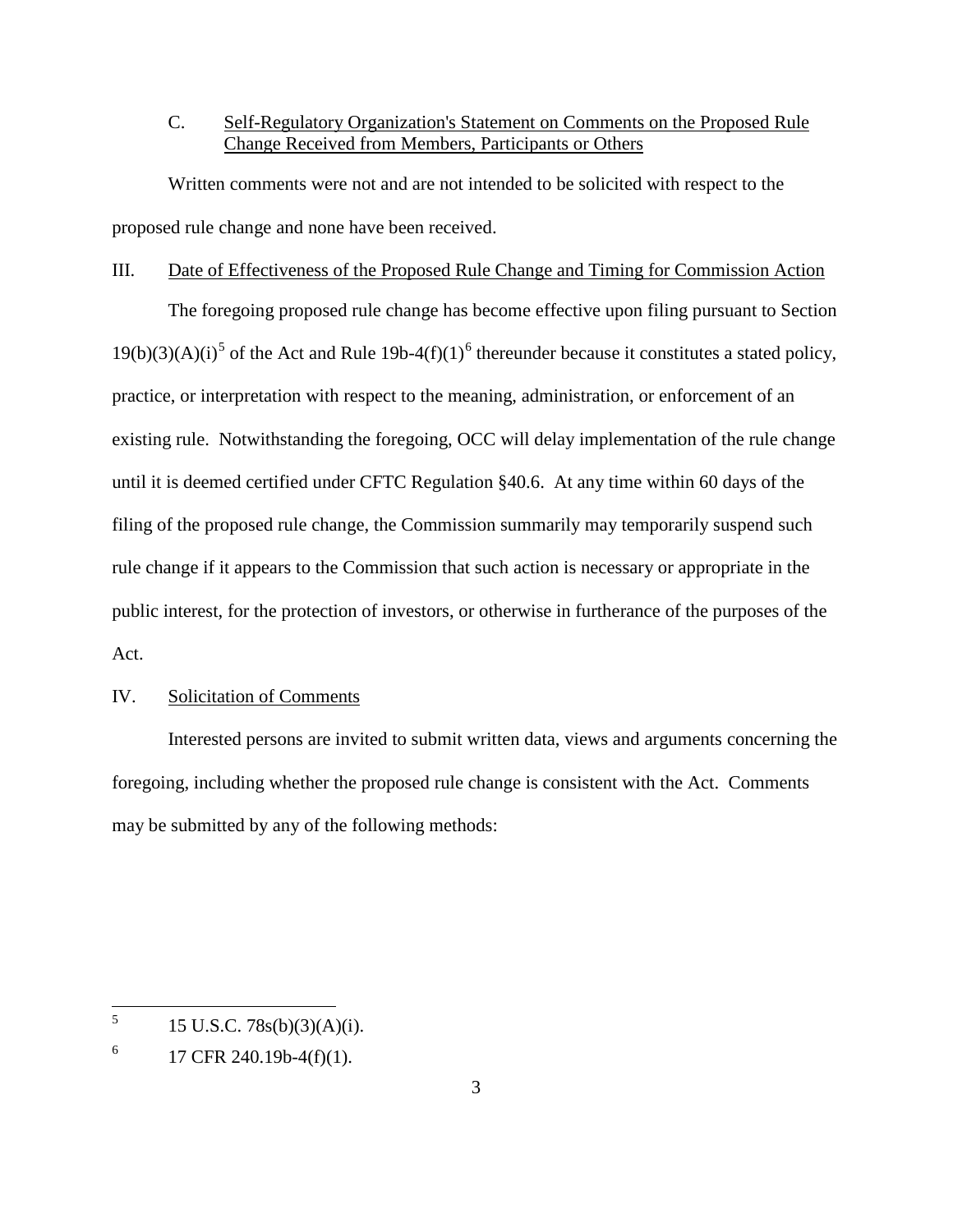# C. Self-Regulatory Organization's Statement on Comments on the Proposed Rule Change Received from Members, Participants or Others

Written comments were not and are not intended to be solicited with respect to the proposed rule change and none have been received.

#### III. Date of Effectiveness of the Proposed Rule Change and Timing for Commission Action

The foregoing proposed rule change has become effective upon filing pursuant to Section  $19(b)(3)(A)(i)^5$  $19(b)(3)(A)(i)^5$  of the Act and Rule 19b-4(f)(1)<sup>[6](#page-2-1)</sup> thereunder because it constitutes a stated policy, practice, or interpretation with respect to the meaning, administration, or enforcement of an existing rule. Notwithstanding the foregoing, OCC will delay implementation of the rule change until it is deemed certified under CFTC Regulation §40.6. At any time within 60 days of the filing of the proposed rule change, the Commission summarily may temporarily suspend such rule change if it appears to the Commission that such action is necessary or appropriate in the public interest, for the protection of investors, or otherwise in furtherance of the purposes of the Act.

### IV. Solicitation of Comments

Interested persons are invited to submit written data, views and arguments concerning the foregoing, including whether the proposed rule change is consistent with the Act. Comments may be submitted by any of the following methods:

<span id="page-2-0"></span> $^{5}$  15 U.S.C. 78s(b)(3)(A)(i).

<span id="page-2-1"></span> $^{6}$  17 CFR 240.19b-4(f)(1).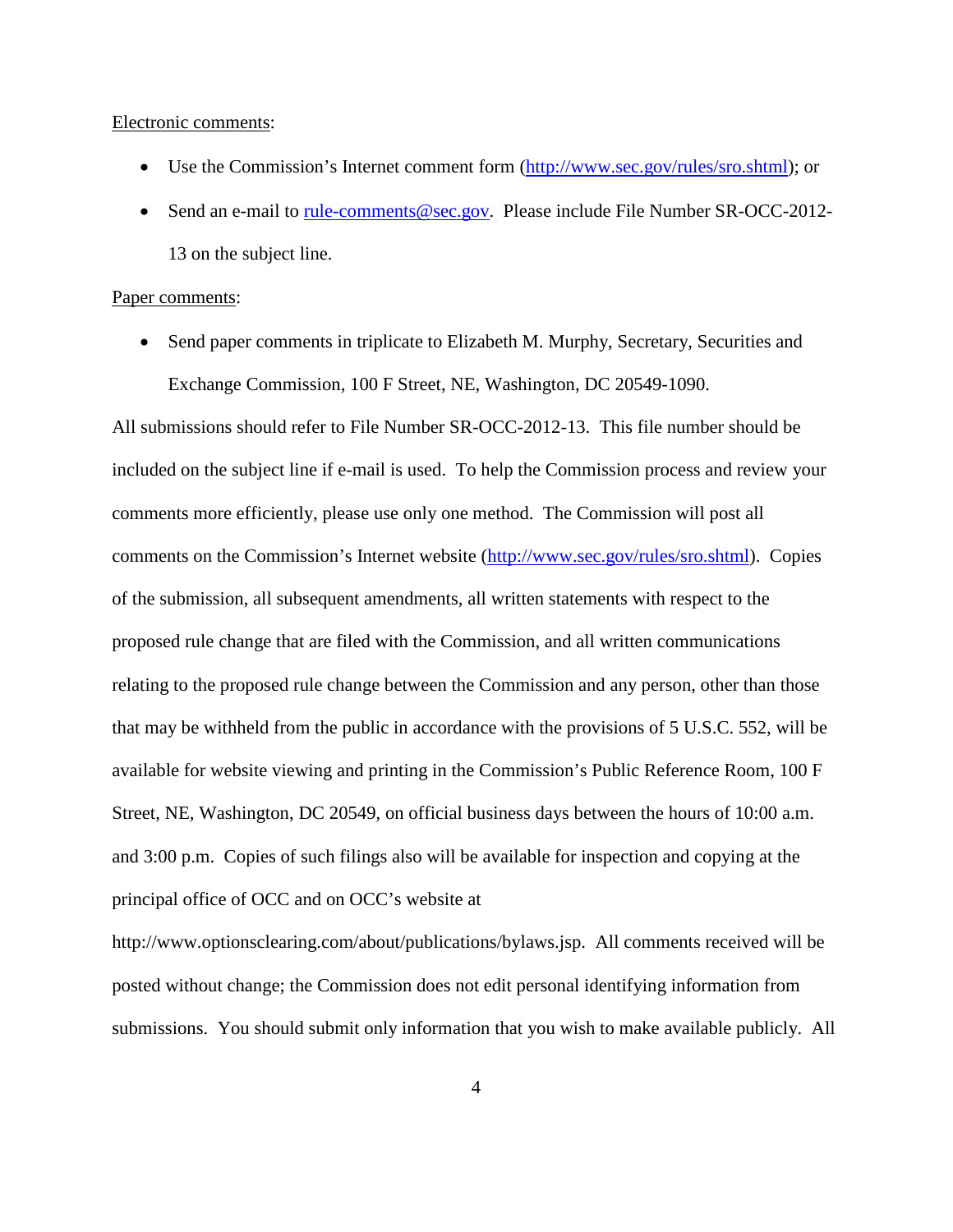Electronic comments:

- Use the Commission's Internet comment form (http://www.sec.gov/rules/sro.shtml); or
- Send an e-mail to [rule-comments@sec.gov.](mailto:rule-comments@sec.gov) Please include File Number SR-OCC-2012-13 on the subject line.

#### Paper comments:

• Send paper comments in triplicate to Elizabeth M. Murphy, Secretary, Securities and Exchange Commission, 100 F Street, NE, Washington, DC 20549-1090.

All submissions should refer to File Number SR-OCC-2012-13. This file number should be included on the subject line if e-mail is used. To help the Commission process and review your comments more efficiently, please use only one method. The Commission will post all comments on the Commission's Internet website [\(http://www.sec.gov/rules/sro.shtml\)](http://www.sec.gov/rules/sro.shtml). Copies of the submission, all subsequent amendments, all written statements with respect to the proposed rule change that are filed with the Commission, and all written communications relating to the proposed rule change between the Commission and any person, other than those that may be withheld from the public in accordance with the provisions of 5 U.S.C. 552, will be available for website viewing and printing in the Commission's Public Reference Room, 100 F Street, NE, Washington, DC 20549, on official business days between the hours of 10:00 a.m. and 3:00 p.m. Copies of such filings also will be available for inspection and copying at the principal office of OCC and on OCC's website at

http://www.optionsclearing.com/about/publications/bylaws.jsp. All comments received will be posted without change; the Commission does not edit personal identifying information from submissions. You should submit only information that you wish to make available publicly. All